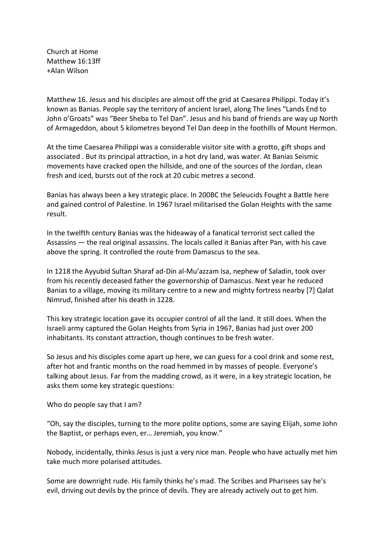Church at Home Matthew 16:13ff +Alan Wilson

Matthew 16. Jesus and his disciples are almost off the grid at Caesarea Philippi. Today it's known as Banias. People say the territory of ancient Israel, along The lines "Lands End to John o'Groats" was "Beer Sheba to Tel Dan". Jesus and his band of friends are way up North of Armageddon, about 5 kilometres beyond Tel Dan deep in the foothills of Mount Hermon.

At the time Caesarea Philippi was a considerable visitor site with a grotto, gift shops and associated . But its principal attraction, in a hot dry land, was water. At Banias Seismic movements have cracked open the hillside, and one of the sources of the Jordan, clean fresh and iced, bursts out of the rock at 20 cubic metres a second.

Banias has always been a key strategic place. In 200BC the Seleucids Fought a Battle here and gained control of Palestine. In 1967 Israel militarised the Golan Heights with the same result.

In the twelfth century Banias was the hideaway of a fanatical terrorist sect called the Assassins — the real original assassins. The locals called it Banias after Pan, with his cave above the spring. It controlled the route from Damascus to the sea.

In 1218 the Ayyubid Sultan Sharaf ad-Din al-Mu'azzam Isa, nephew of Saladin, took over from his recently deceased father the governorship of Damascus. Next year he reduced Banias to a village, moving its military centre to a new and mighty fortress nearby [7] Qalat Nimrud, finished after his death in 1228.

This key strategic location gave its occupier control of all the land. It still does. When the Israeli army captured the Golan Heights from Syria in 1967, Banias had just over 200 inhabitants. Its constant attraction, though continues to be fresh water.

So Jesus and his disciples come apart up here, we can guess for a cool drink and some rest, after hot and frantic months on the road hemmed in by masses of people. Everyone's talking about Jesus. Far from the madding crowd, as it were, in a key strategic location, he asks them some key strategic questions:

Who do people say that I am?

"Oh, say the disciples, turning to the more polite options, some are saying Elijah, some John the Baptist, or perhaps even, er… Jeremiah, you know."

Nobody, incidentally, thinks Jesus is just a very nice man. People who have actually met him take much more polarised attitudes.

Some are downright rude. His family thinks he's mad. The Scribes and Pharisees say he's evil, driving out devils by the prince of devils. They are already actively out to get him.